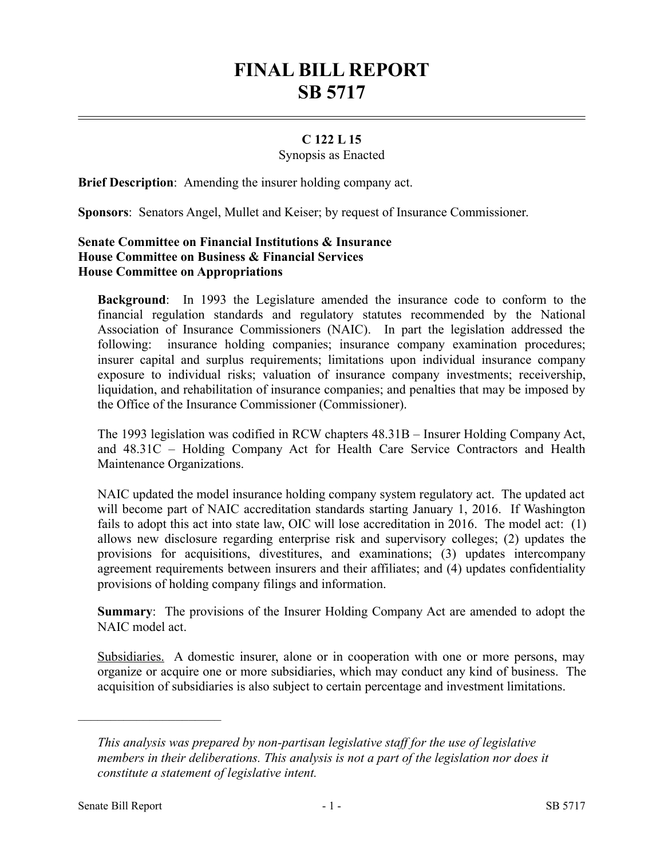# **FINAL BILL REPORT SB 5717**

## **C 122 L 15**

#### Synopsis as Enacted

**Brief Description**: Amending the insurer holding company act.

**Sponsors**: Senators Angel, Mullet and Keiser; by request of Insurance Commissioner.

### **Senate Committee on Financial Institutions & Insurance House Committee on Business & Financial Services House Committee on Appropriations**

**Background**: In 1993 the Legislature amended the insurance code to conform to the financial regulation standards and regulatory statutes recommended by the National Association of Insurance Commissioners (NAIC). In part the legislation addressed the following: insurance holding companies; insurance company examination procedures; insurer capital and surplus requirements; limitations upon individual insurance company exposure to individual risks; valuation of insurance company investments; receivership, liquidation, and rehabilitation of insurance companies; and penalties that may be imposed by the Office of the Insurance Commissioner (Commissioner).

The 1993 legislation was codified in RCW chapters 48.31B – Insurer Holding Company Act, and 48.31C – Holding Company Act for Health Care Service Contractors and Health Maintenance Organizations.

NAIC updated the model insurance holding company system regulatory act. The updated act will become part of NAIC accreditation standards starting January 1, 2016. If Washington fails to adopt this act into state law, OIC will lose accreditation in 2016. The model act: (1) allows new disclosure regarding enterprise risk and supervisory colleges; (2) updates the provisions for acquisitions, divestitures, and examinations; (3) updates intercompany agreement requirements between insurers and their affiliates; and (4) updates confidentiality provisions of holding company filings and information.

**Summary**: The provisions of the Insurer Holding Company Act are amended to adopt the NAIC model act.

Subsidiaries. A domestic insurer, alone or in cooperation with one or more persons, may organize or acquire one or more subsidiaries, which may conduct any kind of business. The acquisition of subsidiaries is also subject to certain percentage and investment limitations.

––––––––––––––––––––––

*This analysis was prepared by non-partisan legislative staff for the use of legislative members in their deliberations. This analysis is not a part of the legislation nor does it constitute a statement of legislative intent.*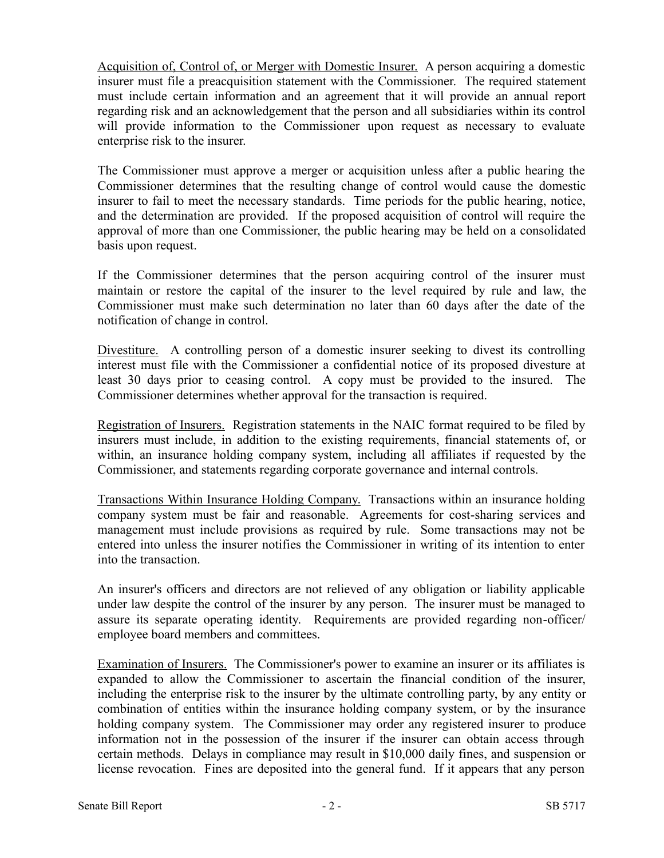Acquisition of, Control of, or Merger with Domestic Insurer. A person acquiring a domestic insurer must file a preacquisition statement with the Commissioner. The required statement must include certain information and an agreement that it will provide an annual report regarding risk and an acknowledgement that the person and all subsidiaries within its control will provide information to the Commissioner upon request as necessary to evaluate enterprise risk to the insurer.

The Commissioner must approve a merger or acquisition unless after a public hearing the Commissioner determines that the resulting change of control would cause the domestic insurer to fail to meet the necessary standards. Time periods for the public hearing, notice, and the determination are provided. If the proposed acquisition of control will require the approval of more than one Commissioner, the public hearing may be held on a consolidated basis upon request.

If the Commissioner determines that the person acquiring control of the insurer must maintain or restore the capital of the insurer to the level required by rule and law, the Commissioner must make such determination no later than 60 days after the date of the notification of change in control.

Divestiture. A controlling person of a domestic insurer seeking to divest its controlling interest must file with the Commissioner a confidential notice of its proposed divesture at least 30 days prior to ceasing control. A copy must be provided to the insured. The Commissioner determines whether approval for the transaction is required.

Registration of Insurers. Registration statements in the NAIC format required to be filed by insurers must include, in addition to the existing requirements, financial statements of, or within, an insurance holding company system, including all affiliates if requested by the Commissioner, and statements regarding corporate governance and internal controls.

Transactions Within Insurance Holding Company. Transactions within an insurance holding company system must be fair and reasonable. Agreements for cost-sharing services and management must include provisions as required by rule. Some transactions may not be entered into unless the insurer notifies the Commissioner in writing of its intention to enter into the transaction.

An insurer's officers and directors are not relieved of any obligation or liability applicable under law despite the control of the insurer by any person. The insurer must be managed to assure its separate operating identity. Requirements are provided regarding non-officer/ employee board members and committees.

Examination of Insurers. The Commissioner's power to examine an insurer or its affiliates is expanded to allow the Commissioner to ascertain the financial condition of the insurer, including the enterprise risk to the insurer by the ultimate controlling party, by any entity or combination of entities within the insurance holding company system, or by the insurance holding company system. The Commissioner may order any registered insurer to produce information not in the possession of the insurer if the insurer can obtain access through certain methods. Delays in compliance may result in \$10,000 daily fines, and suspension or license revocation. Fines are deposited into the general fund. If it appears that any person